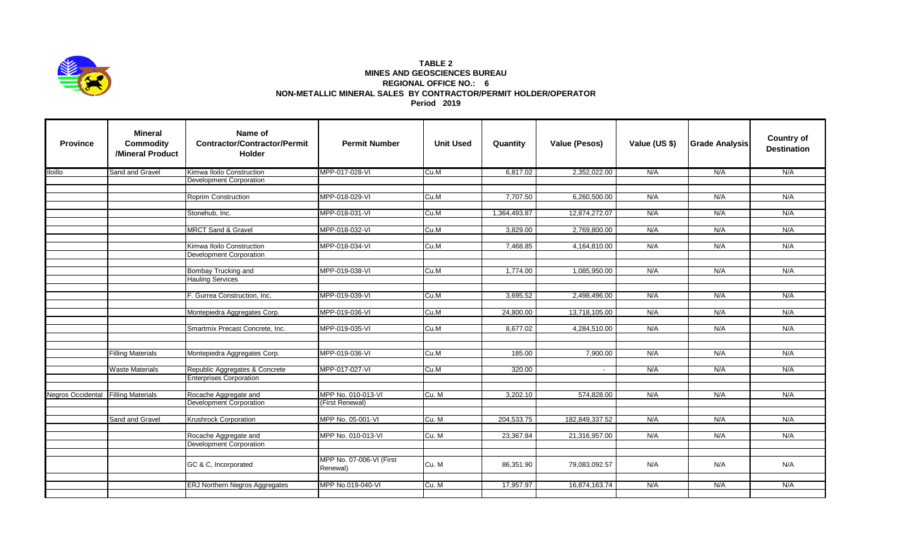

## **TABLE 2 MINES AND GEOSCIENCES BUREAU REGIONAL OFFICE NO.: 6 NON-METALLIC MINERAL SALES BY CONTRACTOR/PERMIT HOLDER/OPERATOR Period 2019**

| <b>Province</b>          | <b>Mineral</b><br><b>Commodity</b><br>/Mineral Product | Name of<br><b>Contractor/Contractor/Permit</b><br><b>Holder</b> | <b>Permit Number</b>                  | <b>Unit Used</b> | Quantity     | Value (Pesos)  | Value (US \$) | <b>Grade Analysis</b> | <b>Country of</b><br><b>Destination</b> |
|--------------------------|--------------------------------------------------------|-----------------------------------------------------------------|---------------------------------------|------------------|--------------|----------------|---------------|-----------------------|-----------------------------------------|
| <b>Iloillo</b>           | Sand and Gravel                                        | Kimwa Iloilo Construction                                       | MPP-017-028-VI                        | Cu.M             | 6,817.02     | 2,352,022.00   | N/A           | N/A                   | N/A                                     |
|                          |                                                        | Development Corporation                                         |                                       |                  |              |                |               |                       |                                         |
|                          |                                                        |                                                                 |                                       |                  |              |                |               |                       | N/A                                     |
|                          |                                                        | Roprim Construction                                             | MPP-018-029-VI                        | Cu.M             | 7,707.50     | 6,260,500.00   | N/A           | N/A                   |                                         |
|                          |                                                        | Stonehub, Inc.                                                  | MPP-018-031-VI                        | Cu.M             | 1,364,493.87 | 12,874,272.07  | N/A           | N/A                   | N/A                                     |
|                          |                                                        |                                                                 |                                       |                  |              |                |               |                       |                                         |
|                          |                                                        | <b>MRCT Sand &amp; Gravel</b>                                   | MPP-018-032-VI                        | Cu.M             | 3,829.00     | 2,769,800.00   | N/A           | N/A                   | N/A                                     |
|                          |                                                        |                                                                 | MPP-018-034-VI                        | Cu.M             | 7,468.85     |                | N/A           |                       | N/A                                     |
|                          |                                                        | Kimwa Iloilo Construction<br>Development Corporation            |                                       |                  |              | 4,164,810.00   |               | N/A                   |                                         |
|                          |                                                        |                                                                 |                                       |                  |              |                |               |                       |                                         |
|                          |                                                        | Bombay Trucking and                                             | MPP-019-038-VI                        | Cu.M             | 1.774.00     | 1,085,950.00   | N/A           | N/A                   | N/A                                     |
|                          |                                                        | <b>Hauling Services</b>                                         |                                       |                  |              |                |               |                       |                                         |
|                          |                                                        |                                                                 |                                       |                  |              |                |               |                       |                                         |
|                          |                                                        | F. Gurrea Construction, Inc.                                    | MPP-019-039-VI                        | Cu.M             | 3,695.52     | 2,498,496.00   | N/A           | N/A                   | N/A                                     |
|                          |                                                        | Montepiedra Aggregates Corp.                                    | MPP-019-036-VI                        | Cu.M             | 24,800.00    | 13,718,105.00  | N/A           | N/A                   | N/A                                     |
|                          |                                                        |                                                                 |                                       |                  |              |                |               |                       |                                         |
|                          |                                                        | Smartmix Precast Concrete, Inc.                                 | MPP-019-035-VI                        | Cu.M             | 8,677.02     | 4,284,510.00   | N/A           | N/A                   | N/A                                     |
|                          |                                                        |                                                                 |                                       |                  |              |                |               |                       |                                         |
|                          | <b>Filling Materials</b>                               | Montepiedra Aggregates Corp.                                    | MPP-019-036-VI                        | Cu.M             | 185.00       | 7,900.00       | N/A           | N/A                   | N/A                                     |
|                          |                                                        |                                                                 |                                       |                  |              |                |               |                       |                                         |
|                          | <b>Waste Materials</b>                                 | Republic Aggregates & Concrete                                  | MPP-017-027-VI                        | Cu.M             | 320.00       |                | N/A           | N/A                   | N/A                                     |
|                          |                                                        | <b>Enterprises Corporation</b>                                  |                                       |                  |              |                |               |                       |                                         |
|                          |                                                        |                                                                 |                                       |                  |              |                |               |                       |                                         |
| <b>Negros Occidental</b> | <b>Filling Materials</b>                               | Rocache Aggregate and<br><b>Development Corporation</b>         | MPP No. 010-013-VI<br>(First Renewal) | Cu. M            | 3,202.10     | 574,828.00     | N/A           | N/A                   | N/A                                     |
|                          |                                                        |                                                                 |                                       |                  |              |                |               |                       |                                         |
|                          | Sand and Gravel                                        | Krushrock Corporation                                           | MPP No. 05-001-VI                     | Cu. M            | 204,533.75   | 182,849,337.52 | N/A           | N/A                   | N/A                                     |
|                          |                                                        |                                                                 |                                       |                  |              |                |               |                       |                                         |
|                          |                                                        | Rocache Aggregate and                                           | MPP No. 010-013-VI                    | Cu. M            | 23,367.84    | 21,316,957.00  | N/A           | N/A                   | N/A                                     |
|                          |                                                        | Development Corporation                                         |                                       |                  |              |                |               |                       |                                         |
|                          |                                                        |                                                                 | MPP No. 07-006-VI (First              |                  |              |                |               |                       |                                         |
|                          |                                                        | GC & C, Incorporated                                            | Renewal)                              | Cu. M            | 86,351.90    | 79,083,092.57  | N/A           | N/A                   | N/A                                     |
|                          |                                                        |                                                                 |                                       |                  |              |                |               |                       |                                         |
|                          |                                                        | ERJ Northern Negros Aggregates                                  | MPP No.019-040-VI                     | Cu. M            | 17,957.97    | 16,874,163.74  | N/A           | N/A                   | N/A                                     |
|                          |                                                        |                                                                 |                                       |                  |              |                |               |                       |                                         |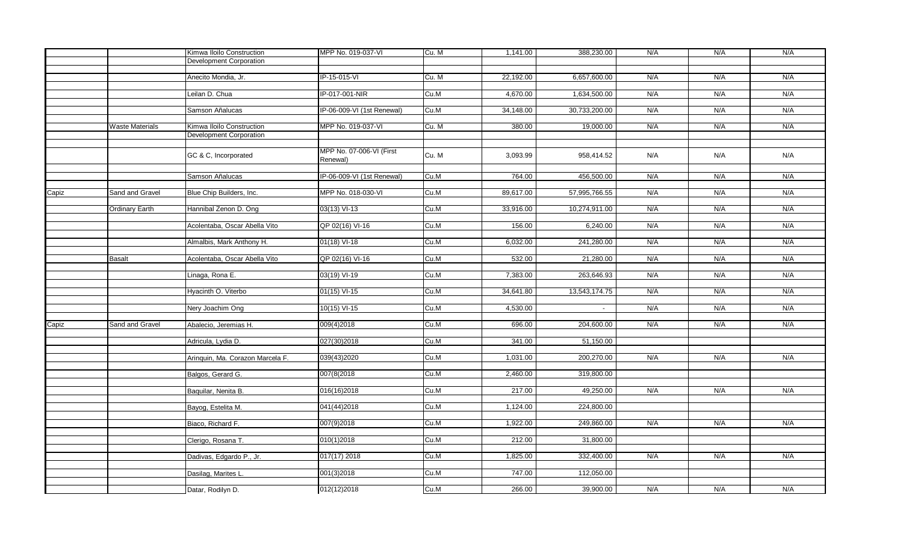|               |                           | Kimwa Iloilo Construction        | MPP No. 019-037-VI         | Cu. M    | 1,141.00   | 388,230.00    | N/A | N/A | N/A |
|---------------|---------------------------|----------------------------------|----------------------------|----------|------------|---------------|-----|-----|-----|
|               |                           | Development Corporation          |                            |          |            |               |     |     |     |
|               |                           |                                  |                            |          |            |               |     |     |     |
|               |                           | Anecito Mondia, Jr.              | IP-15-015-VI               | Cu. M    | 22,192.00  | 6,657,600.00  | N/A | N/A | N/A |
|               |                           | Leilan D. Chua                   | IP-017-001-NIR             | Cu.M     | 4,670.00   | 1,634,500.00  | N/A | N/A | N/A |
|               |                           |                                  |                            |          |            |               |     |     |     |
|               |                           | Samson Añalucas                  | IP-06-009-VI (1st Renewal) | Cu.M     | 34,148.00  | 30,733,200.00 | N/A | N/A | N/A |
|               |                           |                                  |                            |          |            |               |     |     |     |
|               | <b>Waste Materials</b>    | Kimwa Iloilo Construction        | MPP No. 019-037-VI         | Cu. M    | 380.00     | 19,000.00     | N/A | N/A | N/A |
|               |                           | Development Corporation          |                            |          |            |               |     |     |     |
|               |                           |                                  | MPP No. 07-006-VI (First   |          |            |               |     |     |     |
|               |                           | GC & C, Incorporated             | Renewal)                   | Cu. M    | 3,093.99   | 958,414.52    | N/A | N/A | N/A |
|               |                           |                                  |                            |          |            |               |     |     |     |
|               |                           | Samson Añalucas                  | IP-06-009-VI (1st Renewal) | Cu.M     | 764.00     | 456,500.00    | N/A | N/A | N/A |
|               |                           |                                  |                            |          |            |               |     |     |     |
| Capiz         | Sand and Gravel           | Blue Chip Builders, Inc.         | MPP No. 018-030-VI         | Cu.M     | 89,617.00  | 57,995,766.55 | N/A | N/A | N/A |
|               | <b>Ordinary Earth</b>     | Hannibal Zenon D. Ong            | 03(13) VI-13               | Cu.M     | 33,916.00  | 10,274,911.00 | N/A | N/A | N/A |
|               |                           |                                  |                            |          |            |               |     |     |     |
|               |                           | Acolentaba, Oscar Abella Vito    | QP 02(16) VI-16            | Cu.M     | 156.00     | 6,240.00      | N/A | N/A | N/A |
|               |                           |                                  |                            |          |            |               |     |     |     |
|               | Almalbis, Mark Anthony H. | $01(18)$ VI-18                   | Cu.M                       | 6,032.00 | 241,280.00 | N/A           | N/A | N/A |     |
|               |                           | Acolentaba, Oscar Abella Vito    |                            | Cu.M     | 532.00     | 21,280.00     | N/A | N/A | N/A |
| <b>Basalt</b> |                           |                                  | QP 02(16) VI-16            |          |            |               |     |     |     |
|               |                           | Linaga, Rona E.                  | 03(19) VI-19               | Cu.M     | 7,383.00   | 263,646.93    | N/A | N/A | N/A |
|               |                           |                                  |                            |          |            |               |     |     |     |
|               |                           | Hyacinth O. Viterbo              | $01(15)$ VI-15             | Cu.M     | 34,641.80  | 13,543,174.75 | N/A | N/A | N/A |
|               |                           |                                  | $10(15)$ VI-15             | Cu.M     | 4,530.00   |               | N/A | N/A | N/A |
|               |                           | Nery Joachim Ong                 |                            |          |            | $\sim$        |     |     |     |
| Capiz         | Sand and Gravel           | Abalecio, Jeremias H.            | 009(4)2018                 | Cu.M     | 696.00     | 204,600.00    | N/A | N/A | N/A |
|               |                           |                                  |                            |          |            |               |     |     |     |
|               |                           | Adricula, Lydia D.               | 027(30)2018                | Cu.M     | 341.00     | 51,150.00     |     |     |     |
|               |                           |                                  |                            |          |            |               |     |     |     |
|               |                           | Aringuin, Ma. Corazon Marcela F. | 039(43)2020                | Cu.M     | 1,031.00   | 200,270.00    | N/A | N/A | N/A |
|               |                           | Balgos, Gerard G.                | 007(8(2018)                | Cu.M     | 2,460.00   | 319,800.00    |     |     |     |
|               |                           |                                  |                            |          |            |               |     |     |     |
|               |                           | Baquilar, Nenita B.              | 016(16)2018                | Cu.M     | 217.00     | 49,250.00     | N/A | N/A | N/A |
|               |                           |                                  |                            |          |            |               |     |     |     |
|               |                           | Bayog, Estelita M.               | 041(44)2018                | Cu.M     | 1,124.00   | 224,800.00    |     |     |     |
|               |                           | Biaco, Richard F.                | 007(9)2018                 | Cu.M     | 1,922.00   | 249,860.00    | N/A | N/A | N/A |
|               |                           |                                  |                            |          |            |               |     |     |     |
|               |                           | Clerigo, Rosana T.               | 010(1)2018                 | Cu.M     | 212.00     | 31,800.00     |     |     |     |
|               |                           |                                  |                            |          |            |               |     |     |     |
|               |                           | Dadivas, Edgardo P., Jr.         | 017(17) 2018               | Cu.M     | 1,825.00   | 332,400.00    | N/A | N/A | N/A |
|               |                           | Dasilag, Marites L.              | 001(3)2018                 | Cu.M     | 747.00     | 112,050.00    |     |     |     |
|               |                           |                                  |                            |          |            |               |     |     |     |
|               |                           | Datar, Rodilyn D.                | 012(12)2018                | Cu.M     | 266.00     | 39,900.00     | N/A | N/A | N/A |
|               |                           |                                  |                            |          |            |               |     |     |     |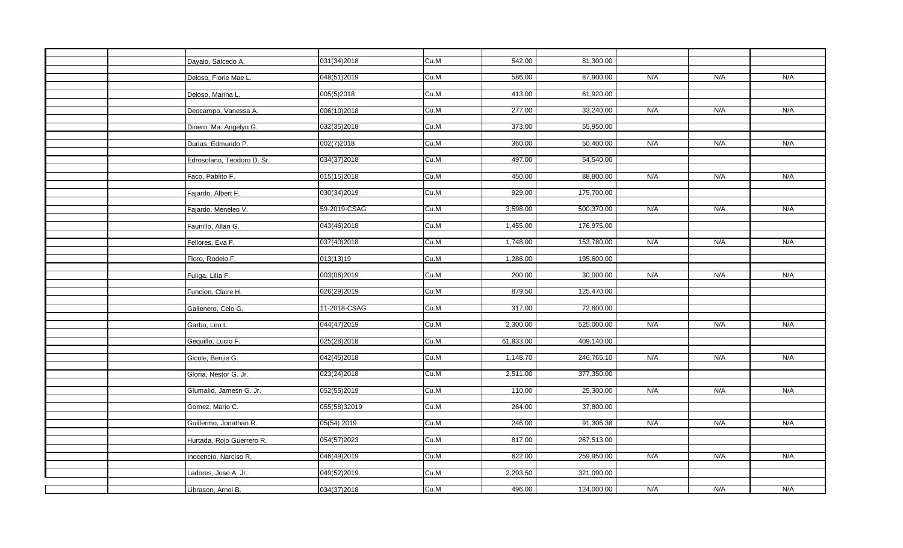|  | Dayalo, Salcedo A.         | 031(34)2018  | Cu.M | 542.00    | 81,300.00  |     |     |     |
|--|----------------------------|--------------|------|-----------|------------|-----|-----|-----|
|  |                            |              |      |           |            |     |     |     |
|  | Deloso, Florie Mae L       | 048(51)2019  | Cu.M | 586.00    | 87,900.00  | N/A | N/A | N/A |
|  |                            |              |      |           |            |     |     |     |
|  | Deloso, Marina L.          | 005(5)2018   | Cu.M | 413.00    | 61,920.00  |     |     |     |
|  |                            |              |      |           |            |     |     |     |
|  | Deocampo, Vanessa A.       | 006(10)2018  | Cu.M | 277.00    | 33,240.00  | N/A | N/A | N/A |
|  |                            |              |      |           |            |     |     |     |
|  | Dinero, Ma. Angelyn G.     | 032(35)2018  | Cu.M | 373.00    | 55,950.00  |     |     |     |
|  |                            |              |      |           |            |     |     |     |
|  | Durias, Edmundo P.         | 002(7)2018   | Cu.M | 360.00    | 50,400.00  | N/A | N/A | N/A |
|  |                            |              |      |           |            |     |     |     |
|  | Edrosolano, Teodoro D. Sr. | 034(37)2018  | Cu.M | 497.00    | 54,540.00  |     |     |     |
|  |                            |              |      |           |            |     |     |     |
|  | Faco, Pablito F.           | 015(15)2018  | Cu.M | 450.00    | 88,800.00  | N/A | N/A | N/A |
|  |                            |              |      |           |            |     |     |     |
|  | Fajardo, Albert F.         | 030(34)2019  | Cu.M | 929.00    | 175,700.00 |     |     |     |
|  |                            |              |      |           |            |     |     |     |
|  | Fajardo, Meneleo V.        | 59-2019-CSAG | Cu.M | 3,598.00  | 500,370.00 | N/A | N/A | N/A |
|  |                            |              |      |           |            |     |     |     |
|  | Faunillo, Allan G.         | 043(46)2018  | Cu.M | 1,455.00  | 176,975.00 |     |     |     |
|  |                            |              |      |           |            |     |     |     |
|  | Fellores, Eva F.           | 037(40)2018  | Cu.M | 1,748.00  | 153,780.00 | N/A | N/A | N/A |
|  |                            |              |      |           |            |     |     |     |
|  | Floro, Rodelo F.           | 013(13)19    | Cu.M | 1,286.00  | 195,600.00 |     |     |     |
|  |                            |              |      |           |            |     |     |     |
|  | Fuliga, Lilia F.           | 003(06)2019  | Cu.M | 200.00    | 30,000.00  | N/A | N/A | N/A |
|  |                            |              |      |           |            |     |     |     |
|  | Funcion, Claire H.         | 026(29)2019  | Cu.M | 879.50    | 125,470.00 |     |     |     |
|  |                            |              |      |           |            |     |     |     |
|  | Gallenero, Celo G.         | 11-2018-CSAG | Cu.M | 317.00    | 72,600.00  |     |     |     |
|  |                            |              |      |           |            |     |     |     |
|  | Garbo, Leo L.              | 044(47)2019  | Cu.M | 2,300.00  | 525,000.00 | N/A | N/A | N/A |
|  |                            |              |      |           |            |     |     |     |
|  | Gequillo, Lucio F.         | 025(28)2018  | Cu.M | 61,833.00 | 409,140.00 |     |     |     |
|  |                            |              |      |           |            |     |     |     |
|  | Gicole, Benjie G.          | 042(45)2018  | Cu.M | 1,148.70  | 246,765.10 | N/A | N/A | N/A |
|  |                            |              |      |           |            |     |     |     |
|  | Gloria, Nestor G. Jr.      | 023(24)2018  | Cu.M | 2,511.00  | 377,350.00 |     |     |     |
|  |                            |              |      |           |            |     |     |     |
|  | Glumalid, Jamesn G. Jr.    | 052(55)2019  | Cu.M | 110.00    | 25,300.00  | N/A | N/A | N/A |
|  |                            |              |      |           |            |     |     |     |
|  | Gomez, Mario C.            | 055(58)32019 | Cu.M | 264.00    | 37,800.00  |     |     |     |
|  |                            |              |      |           |            |     |     |     |
|  | Guillermo, Jonathan R.     | 05(54) 2019  | Cu.M | 246.00    | 91,306.38  | N/A | N/A | N/A |
|  |                            |              |      |           |            |     |     |     |
|  | Hurtada, Rojo Guerrero R.  | 054(57)2023  | Cu.M | 817.00    | 267,513.00 |     |     |     |
|  |                            |              |      |           |            |     |     |     |
|  | nocencio, Narciso R.       | 046(49)2019  | Cu.M | 622.00    | 259,950.00 | N/A | N/A | N/A |
|  |                            |              |      |           |            |     |     |     |
|  | Ladores, Jose A. Jr.       | 049(52)2019  | Cu.M | 2,293.50  | 321,090.00 |     |     |     |
|  |                            |              |      |           |            |     |     |     |
|  | Librason, Arnel B.         | 034(37)2018  | Cu.M | 496.00    | 124,000.00 | N/A | N/A | N/A |
|  |                            |              |      |           |            |     |     |     |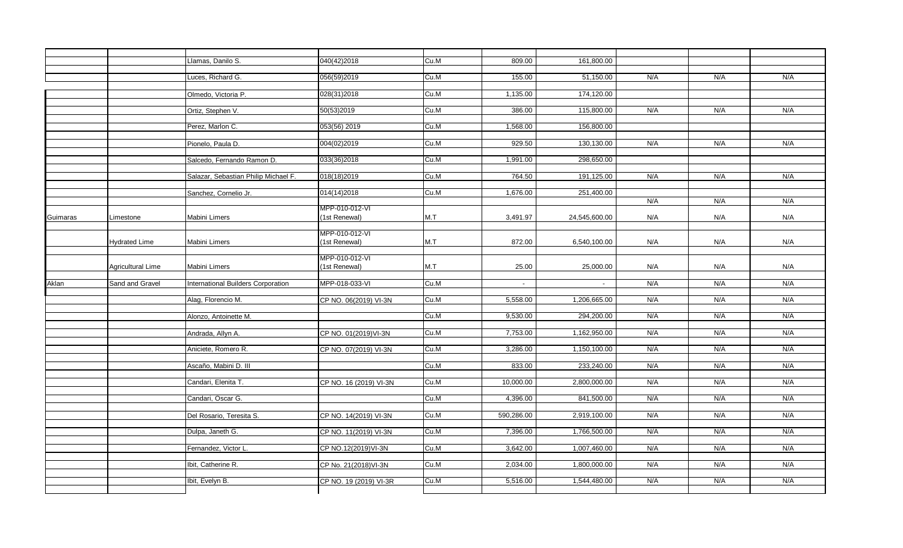|          |                       | Llamas, Danilo S.                    | 040(42)2018            | Cu.M     | 809.00     | 161,800.00    |     |     |     |
|----------|-----------------------|--------------------------------------|------------------------|----------|------------|---------------|-----|-----|-----|
|          |                       | Luces, Richard G.                    | 056(59)2019            | Cu.M     | 155.00     | 51,150.00     | N/A | N/A | N/A |
|          |                       |                                      |                        |          |            |               |     |     |     |
|          |                       | Olmedo, Victoria P.                  | 028(31)2018            | Cu.M     | 1,135.00   | 174,120.00    |     |     |     |
|          |                       |                                      |                        |          |            |               |     |     |     |
|          |                       | Ortiz, Stephen V.                    | 50(53)2019             | Cu.M     | 386.00     | 115,800.00    | N/A | N/A | N/A |
|          |                       |                                      |                        |          |            |               |     |     |     |
|          |                       | Perez, Marlon C.                     | 053(56) 2019           | Cu.M     | 1,568.00   | 156,800.00    |     |     |     |
|          |                       |                                      |                        |          |            |               |     |     |     |
|          |                       | Pionelo, Paula D.                    | 004(02)2019            | Cu.M     | 929.50     | 130,130.00    | N/A | N/A | N/A |
|          |                       | Salcedo, Fernando Ramon D.           | 033(36)2018            | Cu.M     | 1,991.00   | 298,650.00    |     |     |     |
|          |                       |                                      |                        |          |            |               |     |     |     |
|          |                       | Salazar, Sebastian Philip Michael F. | 018(18)2019            | Cu.M     | 764.50     | 191,125.00    | N/A | N/A | N/A |
|          |                       |                                      |                        |          |            |               |     |     |     |
|          | Sanchez, Cornelio Jr. | 014(14)2018                          | Cu.M                   | 1,676.00 | 251,400.00 |               |     |     |     |
|          |                       |                                      |                        |          |            |               | N/A | N/A | N/A |
|          |                       |                                      | MPP-010-012-VI         | M.T      | 3,491.97   |               |     |     | N/A |
| Guimaras | Limestone             | Mabini Limers                        | (1st Renewal)          |          |            | 24,545,600.00 | N/A | N/A |     |
|          |                       |                                      | MPP-010-012-VI         |          |            |               |     |     |     |
|          | <b>Hydrated Lime</b>  | Mabini Limers                        | (1st Renewal)          | M.T      | 872.00     | 6,540,100.00  | N/A | N/A | N/A |
|          |                       |                                      |                        |          |            |               |     |     |     |
|          |                       |                                      | MPP-010-012-VI         |          |            |               |     |     |     |
|          | Agricultural Lime     | Mabini Limers                        | (1st Renewal)          | M.T      | 25.00      | 25,000.00     | N/A | N/A | N/A |
|          |                       |                                      |                        |          |            |               |     |     |     |
| Aklan    | Sand and Gravel       | International Builders Corporation   | MPP-018-033-VI         | Cu.M     | $\sim$     | $\sim$        | N/A | N/A | N/A |
|          |                       | Alag, Florencio M.                   | CP NO. 06(2019) VI-3N  | Cu.M     | 5,558.00   | 1,206,665.00  | N/A | N/A | N/A |
|          |                       |                                      |                        |          |            |               |     |     |     |
|          |                       | Alonzo, Antoinette M.                |                        | Cu.M     | 9,530.00   | 294,200.00    | N/A | N/A | N/A |
|          |                       |                                      |                        |          |            |               |     |     |     |
|          |                       | Andrada, Allyn A.                    | CP NO. 01(2019) VI-3N  | Cu.M     | 7,753.00   | 1,162,950.00  | N/A | N/A | N/A |
|          |                       |                                      |                        |          |            |               |     |     | N/A |
|          |                       | Aniciete, Romero R.                  | CP NO. 07(2019) VI-3N  | Cu.M     | 3,286.00   | 1,150,100.00  | N/A | N/A |     |
|          |                       | Ascaño, Mabini D. III                |                        | Cu.M     | 833.00     | 233,240.00    | N/A | N/A | N/A |
|          |                       |                                      |                        |          |            |               |     |     |     |
|          |                       | Candari, Elenita T.                  | CP NO. 16 (2019) VI-3N | Cu.M     | 10,000.00  | 2,800,000.00  | N/A | N/A | N/A |
|          |                       |                                      |                        |          |            |               |     |     |     |
|          |                       | Candari, Oscar G.                    |                        | Cu.M     | 4,396.00   | 841,500.00    | N/A | N/A | N/A |
|          |                       |                                      |                        |          |            |               |     |     |     |
|          |                       | Del Rosario, Teresita S.             | CP NO. 14(2019) VI-3N  | Cu.M     | 590,286.00 | 2,919,100.00  | N/A | N/A | N/A |
|          |                       | Dulpa, Janeth G.                     | CP NO. 11(2019) VI-3N  | Cu.M     | 7,396.00   | 1,766,500.00  | N/A | N/A | N/A |
|          |                       |                                      |                        |          |            |               |     |     |     |
|          |                       | Fernandez, Victor L.                 | CP NO.12(2019)VI-3N    | Cu.M     | 3,642.00   | 1,007,460.00  | N/A | N/A | N/A |
|          |                       |                                      |                        |          |            |               |     |     |     |
|          |                       | Ibit, Catherine R.                   | CP No. 21(2018) VI-3N  | Cu.M     | 2,034.00   | 1,800,000.00  | N/A | N/A | N/A |
|          |                       |                                      |                        |          |            |               |     |     |     |
|          |                       | Ibit, Evelyn B.                      | CP NO. 19 (2019) VI-3R | Cu.M     | 5,516.00   | 1,544,480.00  | N/A | N/A | N/A |
|          |                       |                                      |                        |          |            |               |     |     |     |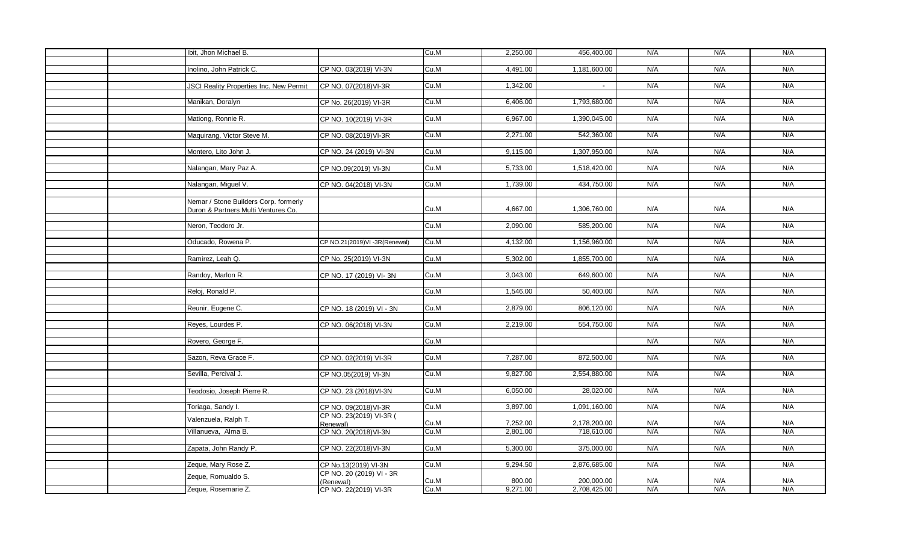|  | Ibit, Jhon Michael B.                          |                              | Cu.M | 2,250.00 | 456,400.00   | N/A | N/A | N/A |
|--|------------------------------------------------|------------------------------|------|----------|--------------|-----|-----|-----|
|  |                                                |                              |      |          |              |     |     |     |
|  | Inolino, John Patrick C.                       | CP NO. 03(2019) VI-3N        | Cu.M | 4,491.00 | 1,181,600.00 | N/A | N/A | N/A |
|  |                                                |                              |      |          |              |     |     |     |
|  | <b>JSCI Reality Properties Inc. New Permit</b> | CP NO. 07(2018) VI-3R        | Cu.M | 1,342.00 |              | N/A | N/A | N/A |
|  |                                                |                              |      |          |              |     |     |     |
|  | Manikan, Doralyn                               | CP No. 26(2019) VI-3R        | Cu.M | 6,406.00 | 1,793,680.00 | N/A | N/A | N/A |
|  |                                                |                              |      |          |              |     |     |     |
|  | Mationg, Ronnie R.                             | CP NO. 10(2019) VI-3R        | Cu.M | 6,967.00 | 1,390,045.00 | N/A | N/A | N/A |
|  |                                                |                              |      |          |              |     |     |     |
|  | Maquirang, Victor Steve M.                     | CP NO. 08(2019) VI-3R        | Cu.M | 2,271.00 | 542,360.00   | N/A | N/A | N/A |
|  |                                                |                              |      |          |              |     |     |     |
|  | Montero, Lito John J.                          | CP NO. 24 (2019) VI-3N       | Cu.M | 9,115.00 | 1,307,950.00 | N/A | N/A | N/A |
|  |                                                |                              |      |          |              |     |     |     |
|  | Nalangan, Mary Paz A.                          | CP NO.09(2019) VI-3N         | Cu.M | 5,733.00 | 1,518,420.00 | N/A | N/A | N/A |
|  |                                                |                              |      |          |              |     |     |     |
|  | Nalangan, Miguel V.                            | CP NO. 04(2018) VI-3N        | Cu.M | 1,739.00 | 434,750.00   | N/A | N/A | N/A |
|  |                                                |                              |      |          |              |     |     |     |
|  | Nemar / Stone Builders Corp. formerly          |                              |      |          |              |     |     |     |
|  | Duron & Partners Multi Ventures Co.            |                              | Cu.M | 4.667.00 | 1,306,760.00 | N/A | N/A | N/A |
|  |                                                |                              |      |          |              |     |     |     |
|  | Neron, Teodoro Jr.                             |                              | Cu.M | 2,090.00 | 585,200.00   | N/A | N/A | N/A |
|  |                                                |                              |      |          |              |     |     |     |
|  | Oducado, Rowena P.                             | CP NO.21(2019)VI-3R(Renewal) | Cu.M | 4,132.00 | 1,156,960.00 | N/A | N/A | N/A |
|  |                                                |                              |      |          |              |     |     |     |
|  | Ramirez, Leah Q.                               | CP No. 25(2019) VI-3N        | Cu.M | 5,302.00 | 1,855,700.00 | N/A | N/A | N/A |
|  |                                                |                              |      |          |              |     |     | N/A |
|  | Randoy, Marlon R.                              | CP NO. 17 (2019) VI-3N       | Cu.M | 3,043.00 | 649,600.00   | N/A | N/A |     |
|  | Reloj, Ronald P.                               |                              | Cu.M | 1,546.00 | 50,400.00    | N/A | N/A | N/A |
|  |                                                |                              |      |          |              |     |     |     |
|  | Reunir, Eugene C.                              | CP NO. 18 (2019) VI - 3N     | Cu.M | 2,879.00 | 806,120.00   | N/A | N/A | N/A |
|  |                                                |                              |      |          |              |     |     |     |
|  | Reyes, Lourdes P.                              | CP NO. 06(2018) VI-3N        | Cu.M | 2,219.00 | 554,750.00   | N/A | N/A | N/A |
|  |                                                |                              |      |          |              |     |     |     |
|  | Rovero, George F.                              |                              | Cu.M |          |              | N/A | N/A | N/A |
|  |                                                |                              |      |          |              |     |     |     |
|  | Sazon, Reva Grace F.                           | CP NO. 02(2019) VI-3R        | Cu.M | 7.287.00 | 872,500.00   | N/A | N/A | N/A |
|  |                                                |                              |      |          |              |     |     |     |
|  | Sevilla, Percival J.                           | CP NO.05(2019) VI-3N         | Cu.M | 9,827.00 | 2,554,880.00 | N/A | N/A | N/A |
|  |                                                |                              |      |          |              |     |     |     |
|  | Teodosio, Joseph Pierre R.                     | CP NO. 23 (2018) VI-3N       | Cu.M | 6,050.00 | 28,020.00    | N/A | N/A | N/A |
|  |                                                |                              |      |          |              |     |     |     |
|  | Toriaga, Sandy I.                              | CP NO. 09(2018) VI-3R        | Cu.M | 3.897.00 | 1,091,160.00 | N/A | N/A | N/A |
|  |                                                | CP NO. 23(2019) VI-3R (      |      |          |              |     |     |     |
|  | Valenzuela, Ralph T.                           | Renewal)                     | Cu.M | 7,252.00 | 2,178,200.00 | N/A | N/A | N/A |
|  | Villanueva, Alma B.                            | CP NO. 20(2018) VI-3N        | Cu.M | 2,801.00 | 718,610.00   | N/A | N/A | N/A |
|  |                                                |                              |      |          |              |     |     |     |
|  | Zapata, John Randy P.                          | CP NO. 22(2018) VI-3N        | Cu.M | 5,300.00 | 375,000.00   | N/A | N/A | N/A |
|  |                                                |                              |      |          |              |     |     |     |
|  | Zeque, Mary Rose Z.                            | CP No.13(2019) VI-3N         | Cu.M | 9,294.50 | 2,876,685.00 | N/A | N/A | N/A |
|  |                                                | CP NO. 20 (2019) VI - 3R     |      |          |              |     |     |     |
|  | Zeque, Romualdo S.                             | (Renewal)                    | Cu.M | 800.00   | 200,000.00   | N/A | N/A | N/A |
|  | Zeque, Rosemarie Z.                            | CP NO. 22(2019) VI-3R        | Cu.M | 9,271.00 | 2,708,425.00 | N/A | N/A | N/A |
|  |                                                |                              |      |          |              |     |     |     |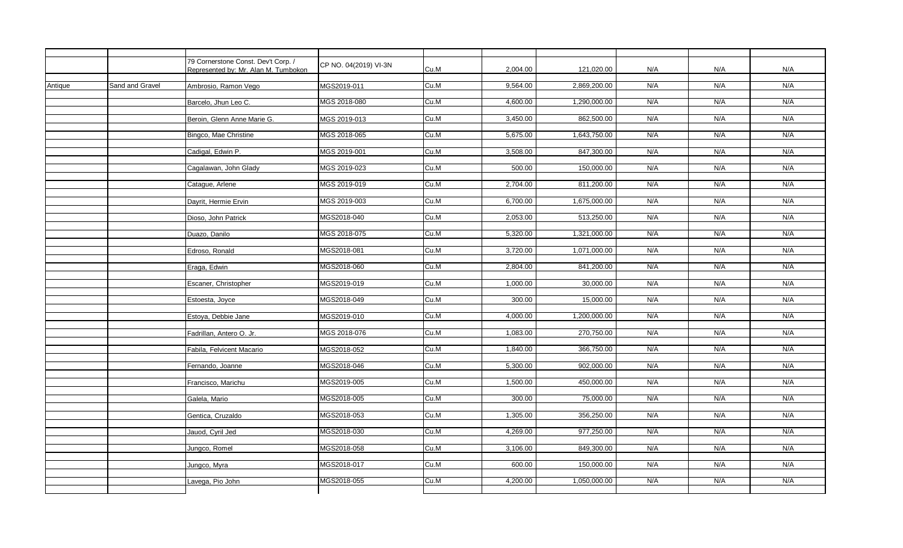|         |                 | 79 Cornerstone Const. Dev't Corp. /  | CP NO. 04(2019) VI-3N |      |          |              |     |     |     |
|---------|-----------------|--------------------------------------|-----------------------|------|----------|--------------|-----|-----|-----|
|         |                 | Represented by: Mr. Alan M. Tumbokon |                       | Cu.M | 2,004.00 | 121,020.00   | N/A | N/A | N/A |
| Antique | Sand and Gravel | Ambrosio, Ramon Vego                 | MGS2019-011           | Cu.M | 9,564.00 | 2,869,200.00 | N/A | N/A | N/A |
|         |                 |                                      |                       |      |          |              |     |     |     |
|         |                 | Barcelo, Jhun Leo C.                 | MGS 2018-080          | Cu.M | 4,600.00 | 1,290,000.00 | N/A | N/A | N/A |
|         |                 | Beroin. Glenn Anne Marie G.          | MGS 2019-013          | Cu.M | 3,450.00 | 862,500.00   | N/A | N/A | N/A |
|         |                 |                                      |                       |      |          |              |     |     |     |
|         |                 | Bingco, Mae Christine                | MGS 2018-065          | Cu.M | 5,675.00 | 1,643,750.00 | N/A | N/A | N/A |
|         |                 | Cadigal, Edwin P.                    | MGS 2019-001          | Cu.M | 3,508.00 | 847,300.00   | N/A | N/A | N/A |
|         |                 | Cagalawan, John Glady                | MGS 2019-023          | Cu.M | 500.00   | 150,000.00   | N/A | N/A | N/A |
|         |                 | Catague, Arlene                      | MGS 2019-019          | Cu.M | 2,704.00 | 811,200.00   | N/A | N/A | N/A |
|         |                 |                                      |                       |      |          |              |     |     |     |
|         |                 | Dayrit, Hermie Ervin                 | MGS 2019-003          | Cu.M | 6,700.00 | 1,675,000.00 | N/A | N/A | N/A |
|         |                 | Dioso, John Patrick                  | MGS2018-040           | Cu.M | 2,053.00 | 513,250.00   | N/A | N/A | N/A |
|         |                 |                                      |                       |      |          |              |     |     |     |
|         |                 | Duazo, Danilo                        | MGS 2018-075          | Cu.M | 5,320.00 | 1,321,000.00 | N/A | N/A | N/A |
|         |                 | Edroso, Ronald                       | MGS2018-081           | Cu.M | 3,720.00 | 1,071,000.00 | N/A | N/A | N/A |
|         |                 | Eraga, Edwin                         | MGS2018-060           | Cu.M | 2,804.00 | 841,200.00   | N/A | N/A | N/A |
|         |                 |                                      |                       |      |          |              |     |     |     |
|         |                 | Escaner, Christopher                 | MGS2019-019           | Cu.M | 1,000.00 | 30,000.00    | N/A | N/A | N/A |
|         |                 | Estoesta, Joyce                      | MGS2018-049           | Cu.M | 300.00   | 15.000.00    | N/A | N/A | N/A |
|         |                 | Estoya, Debbie Jane                  | MGS2019-010           | Cu.M | 4.000.00 | 1,200,000.00 | N/A | N/A | N/A |
|         |                 | Fadrillan, Antero O. Jr.             | MGS 2018-076          | Cu.M | 1,083.00 | 270,750.00   | N/A | N/A | N/A |
|         |                 |                                      |                       |      |          |              |     |     |     |
|         |                 | Fabila, Felvicent Macario            | MGS2018-052           | Cu.M | 1,840.00 | 366,750.00   | N/A | N/A | N/A |
|         |                 | Fernando, Joanne                     | MGS2018-046           | Cu.M | 5,300.00 | 902,000.00   | N/A | N/A | N/A |
|         |                 |                                      |                       |      |          |              |     |     |     |
|         |                 | Francisco, Marichu                   | MGS2019-005           | Cu.M | 1,500.00 | 450,000.00   | N/A | N/A | N/A |
|         |                 | Galela, Mario                        | MGS2018-005           | Cu.M | 300.00   | 75,000.00    | N/A | N/A | N/A |
|         |                 | Gentica, Cruzaldo                    | MGS2018-053           | Cu.M | 1,305.00 | 356,250.00   | N/A | N/A | N/A |
|         |                 |                                      |                       |      |          |              |     |     |     |
|         |                 | Jauod, Cyril Jed                     | MGS2018-030           | Cu.M | 4,269.00 | 977,250.00   | N/A | N/A | N/A |
|         |                 | Jungco, Romel                        | MGS2018-058           | Cu.M | 3,106.00 | 849,300.00   | N/A | N/A | N/A |
|         |                 | Jungco, Myra                         | MGS2018-017           | Cu.M | 600.00   | 150,000.00   | N/A | N/A | N/A |
|         |                 |                                      |                       |      |          |              |     |     |     |
|         |                 | Lavega, Pio John                     | MGS2018-055           | Cu.M | 4,200.00 | 1,050,000.00 | N/A | N/A | N/A |
|         |                 |                                      |                       |      |          |              |     |     |     |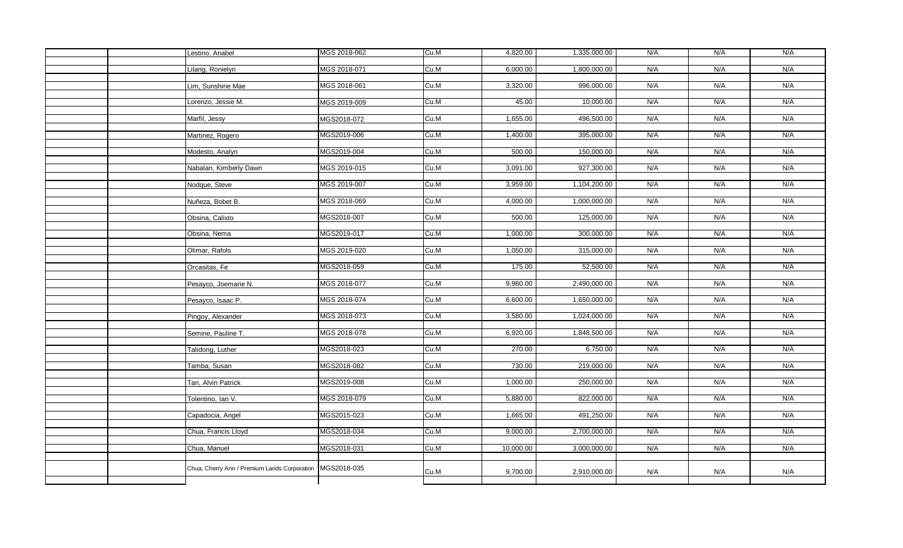|  | Lestino, Anabel                              | MGS 2018-062 | Cu.M | 4,820.00  | 1,335,000.00 | N/A | N/A | N/A |
|--|----------------------------------------------|--------------|------|-----------|--------------|-----|-----|-----|
|  |                                              |              |      |           |              |     |     |     |
|  | Lilang, Ronielyn                             | MGS 2018-071 | Cu.M | 6,000.00  | 1,800,000.00 | N/A | N/A | N/A |
|  |                                              |              |      |           |              |     |     |     |
|  | Lim, Sunshine Mae                            | MGS 2018-061 | Cu.M | 3,320.00  | 996,000.00   | N/A | N/A | N/A |
|  | Lorenzo, Jessie M.                           | MGS 2019-009 | Cu.M | 45.00     | 10,000.00    | N/A | N/A | N/A |
|  |                                              |              |      |           |              |     |     |     |
|  | Marfil, Jessy                                | MGS2018-072  | Cu.M | 1,655.00  | 496,500.00   | N/A | N/A | N/A |
|  |                                              |              |      |           |              |     |     |     |
|  | Martinez, Rogero                             | MGS2019-006  | Cu.M | 1,400.00  | 395,000.00   | N/A | N/A | N/A |
|  |                                              |              |      |           |              |     |     |     |
|  | Modesto, Analyn                              | MGS2019-004  | Cu.M | 500.00    | 150,000.00   | N/A | N/A | N/A |
|  |                                              |              |      |           |              |     |     |     |
|  | Nabalan, Kimberly Dawn                       | MGS 2019-015 | Cu.M | 3,091.00  | 927,300.00   | N/A | N/A | N/A |
|  |                                              | MGS 2019-007 | Cu.M | 3,959.00  | 1,104,200.00 | N/A | N/A | N/A |
|  | Nodque, Steve                                |              |      |           |              |     |     |     |
|  | Nuñeza, Bobet B.                             | MGS 2018-069 | Cu.M | 4,000.00  | 1,000,000.00 | N/A | N/A | N/A |
|  |                                              |              |      |           |              |     |     |     |
|  | Obsina, Calixto                              | MGS2018-007  | Cu.M | 500.00    | 125,000.00   | N/A | N/A | N/A |
|  |                                              |              |      |           |              |     |     |     |
|  | Obsina, Nema                                 | MGS2019-017  | Cu.M | 1,000.00  | 300,000.00   | N/A | N/A | N/A |
|  |                                              |              |      |           |              |     |     |     |
|  | Olimar, Rafols                               | MGS 2019-020 | Cu.M | 1,050.00  | 315,000.00   | N/A | N/A | N/A |
|  |                                              | MGS2018-059  | Cu.M | 175.00    | 52,500.00    | N/A | N/A | N/A |
|  | Orcasitas, Fe                                |              |      |           |              |     |     |     |
|  | Pesayco, Joemarie N.                         | MGS 2018-077 | Cu.M | 9,960.00  | 2,490,000.00 | N/A | N/A | N/A |
|  |                                              |              |      |           |              |     |     |     |
|  | Pesayco, Isaac P.                            | MGS 2018-074 | Cu.M | 6,600.00  | 1,650,000.00 | N/A | N/A | N/A |
|  |                                              |              |      |           |              |     |     |     |
|  | Pingoy, Alexander                            | MGS 2018-073 | Cu.M | 3,580.00  | 1,024,000.00 | N/A | N/A | N/A |
|  |                                              |              |      |           |              |     |     |     |
|  | Semine, Pauline T.                           | MGS 2018-078 | Cu.M | 6,920.00  | 1,848,500.00 | N/A | N/A | N/A |
|  |                                              | MGS2018-023  | Cu.M | 270.00    | 6,750.00     | N/A | N/A | N/A |
|  | Talidong, Luther                             |              |      |           |              |     |     |     |
|  | Tamba, Susan                                 | MGS2018-082  | Cu.M | 730.00    | 219,000.00   | N/A | N/A | N/A |
|  |                                              |              |      |           |              |     |     |     |
|  | Tan, Alvin Patrick                           | MGS2019-008  | Cu.M | 1,000.00  | 250,000.00   | N/A | N/A | N/A |
|  |                                              |              |      |           |              |     |     |     |
|  | Tolentino, Ian V.                            | MGS 2018-079 | Cu.M | 5,880.00  | 822,000.00   | N/A | N/A | N/A |
|  |                                              |              |      |           |              |     |     |     |
|  | Capadocia, Angel                             | MGS2015-023  | Cu.M | 1,665.00  | 491,250.00   | N/A | N/A | N/A |
|  | Chua, Francis Lloyd                          | MGS2018-034  | Cu.M | 9,000.00  | 2,700,000.00 | N/A | N/A | N/A |
|  |                                              |              |      |           |              |     |     |     |
|  | Chua, Manuel                                 | MGS2018-031  | Cu.M | 10,000.00 | 3,000,000.00 | N/A | N/A | N/A |
|  |                                              |              |      |           |              |     |     |     |
|  |                                              | MGS2018-035  |      |           |              |     |     |     |
|  | Chua, Cherry Ann / Premium Lands Corporation |              | Cu.M | 9,700.00  | 2,910,000.00 | N/A | N/A | N/A |
|  |                                              |              |      |           |              |     |     |     |